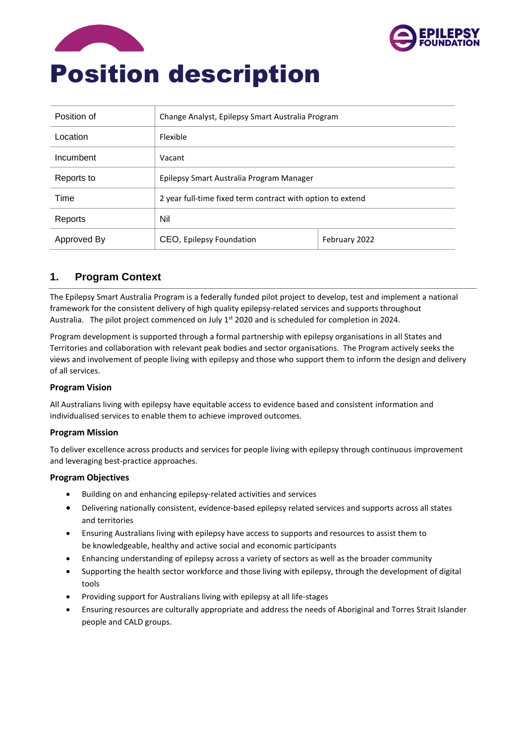



| Position of | Change Analyst, Epilepsy Smart Australia Program           |               |  |
|-------------|------------------------------------------------------------|---------------|--|
| Location    | Flexible                                                   |               |  |
| Incumbent   | Vacant                                                     |               |  |
| Reports to  | Epilepsy Smart Australia Program Manager                   |               |  |
| Time        | 2 year full-time fixed term contract with option to extend |               |  |
| Reports     | Nil                                                        |               |  |
| Approved By | CEO, Epilepsy Foundation                                   | February 2022 |  |

# **1. Program Context**

The Epilepsy Smart Australia Program is a federally funded pilot project to develop, test and implement a national framework for the consistent delivery of high quality epilepsy-related services and supports throughout Australia. The pilot project commenced on July 1<sup>st</sup> 2020 and is scheduled for completion in 2024.

Program development is supported through a formal partnership with epilepsy organisations in all States and Territories and collaboration with relevant peak bodies and sector organisations. The Program actively seeks the views and involvement of people living with epilepsy and those who support them to inform the design and delivery of all services.

## **Program Vision**

All Australians living with epilepsy have equitable access to evidence based and consistent information and individualised services to enable them to achieve improved outcomes.

#### **Program Mission**

To deliver excellence across products and services for people living with epilepsy through continuous improvement and leveraging best-practice approaches.

#### **Program Objectives**

- Building on and enhancing epilepsy-related activities and services
- Delivering nationally consistent, evidence-based epilepsy related services and supports across all states and territories
- Ensuring Australians living with epilepsy have access to supports and resources to assist them to be knowledgeable, healthy and active social and economic participants
- Enhancing understanding of epilepsy across a variety of sectors as well as the broader community
- Supporting the health sector workforce and those living with epilepsy, through the development of digital tools
- Providing support for Australians living with epilepsy at all life-stages
- Ensuring resources are culturally appropriate and address the needs of Aboriginal and Torres Strait Islander people and CALD groups.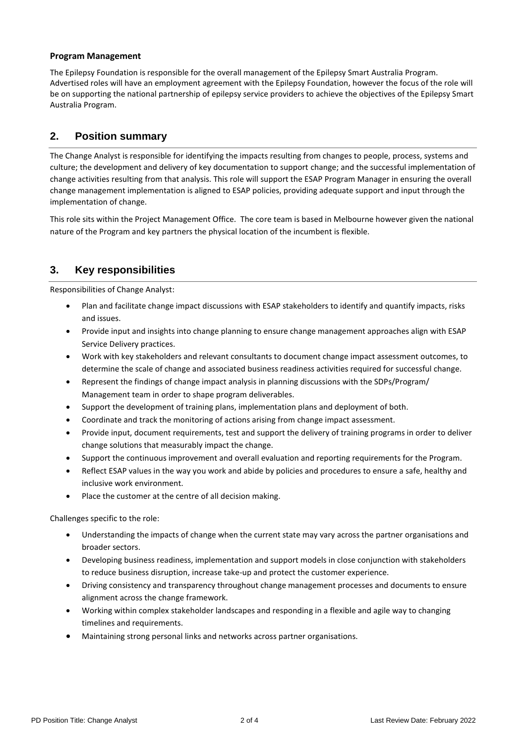### **Program Management**

The Epilepsy Foundation is responsible for the overall management of the Epilepsy Smart Australia Program. Advertised roles will have an employment agreement with the Epilepsy Foundation, however the focus of the role will be on supporting the national partnership of epilepsy service providers to achieve the objectives of the Epilepsy Smart Australia Program.

# **2. Position summary**

The Change Analyst is responsible for identifying the impacts resulting from changes to people, process, systems and culture; the development and delivery of key documentation to support change; and the successful implementation of change activities resulting from that analysis. This role will support the ESAP Program Manager in ensuring the overall change management implementation is aligned to ESAP policies, providing adequate support and input through the implementation of change.

This role sits within the Project Management Office. The core team is based in Melbourne however given the national nature of the Program and key partners the physical location of the incumbent is flexible.

# **3. Key responsibilities**

Responsibilities of Change Analyst:

- Plan and facilitate change impact discussions with ESAP stakeholders to identify and quantify impacts, risks and issues.
- Provide input and insights into change planning to ensure change management approaches align with ESAP Service Delivery practices.
- Work with key stakeholders and relevant consultants to document change impact assessment outcomes, to determine the scale of change and associated business readiness activities required for successful change.
- Represent the findings of change impact analysis in planning discussions with the SDPs/Program/ Management team in order to shape program deliverables.
- Support the development of training plans, implementation plans and deployment of both.
- Coordinate and track the monitoring of actions arising from change impact assessment.
- Provide input, document requirements, test and support the delivery of training programs in order to deliver change solutions that measurably impact the change.
- Support the continuous improvement and overall evaluation and reporting requirements for the Program.
- Reflect ESAP values in the way you work and abide by policies and procedures to ensure a safe, healthy and inclusive work environment.
- Place the customer at the centre of all decision making.

Challenges specific to the role:

- Understanding the impacts of change when the current state may vary across the partner organisations and broader sectors.
- Developing business readiness, implementation and support models in close conjunction with stakeholders to reduce business disruption, increase take-up and protect the customer experience.
- Driving consistency and transparency throughout change management processes and documents to ensure alignment across the change framework.
- Working within complex stakeholder landscapes and responding in a flexible and agile way to changing timelines and requirements.
- Maintaining strong personal links and networks across partner organisations.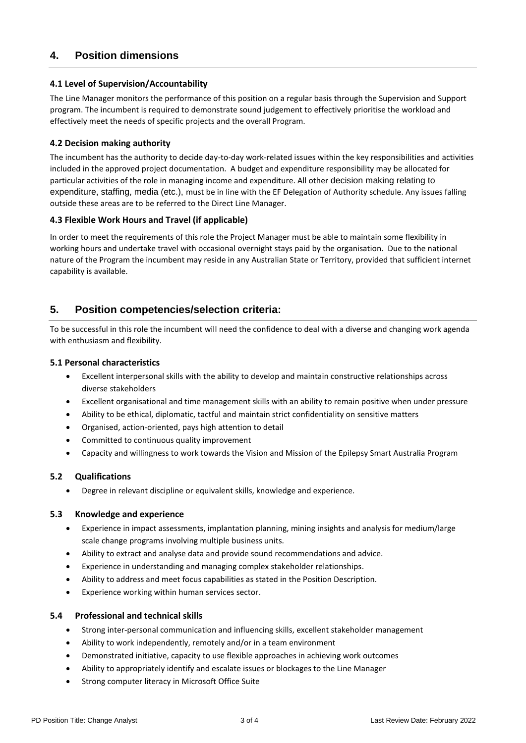# **4. Position dimensions**

### **4.1 Level of Supervision/Accountability**

The Line Manager monitors the performance of this position on a regular basis through the Supervision and Support program. The incumbent is required to demonstrate sound judgement to effectively prioritise the workload and effectively meet the needs of specific projects and the overall Program.

### **4.2 Decision making authority**

The incumbent has the authority to decide day-to-day work-related issues within the key responsibilities and activities included in the approved project documentation. A budget and expenditure responsibility may be allocated for particular activities of the role in managing income and expenditure. All other decision making relating to expenditure, staffing, media (etc.), must be in line with the EF Delegation of Authority schedule. Any issues falling outside these areas are to be referred to the Direct Line Manager.

## **4.3 Flexible Work Hours and Travel (if applicable)**

In order to meet the requirements of this role the Project Manager must be able to maintain some flexibility in working hours and undertake travel with occasional overnight stays paid by the organisation. Due to the national nature of the Program the incumbent may reside in any Australian State or Territory, provided that sufficient internet capability is available.

## **5. Position competencies/selection criteria:**

To be successful in this role the incumbent will need the confidence to deal with a diverse and changing work agenda with enthusiasm and flexibility.

#### **5.1 Personal characteristics**

- Excellent interpersonal skills with the ability to develop and maintain constructive relationships across diverse stakeholders
- Excellent organisational and time management skills with an ability to remain positive when under pressure
- Ability to be ethical, diplomatic, tactful and maintain strict confidentiality on sensitive matters
- Organised, action-oriented, pays high attention to detail
- Committed to continuous quality improvement
- Capacity and willingness to work towards the Vision and Mission of the Epilepsy Smart Australia Program

## **5.2 Qualifications**

• Degree in relevant discipline or equivalent skills, knowledge and experience.

#### **5.3 Knowledge and experience**

- Experience in impact assessments, implantation planning, mining insights and analysis for medium/large scale change programs involving multiple business units.
- Ability to extract and analyse data and provide sound recommendations and advice.
- Experience in understanding and managing complex stakeholder relationships.
- Ability to address and meet focus capabilities as stated in the Position Description.
- Experience working within human services sector.

#### **5.4 Professional and technical skills**

- Strong inter-personal communication and influencing skills, excellent stakeholder management
- Ability to work independently, remotely and/or in a team environment
- Demonstrated initiative, capacity to use flexible approaches in achieving work outcomes
- Ability to appropriately identify and escalate issues or blockages to the Line Manager
- Strong computer literacy in Microsoft Office Suite